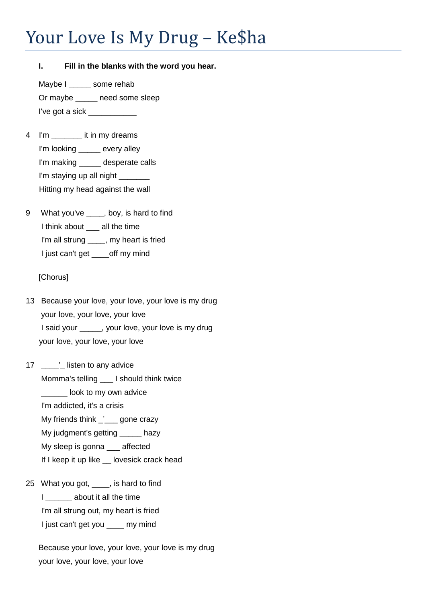## Your Love Is My Drug – Ke\$ha

| Ι.<br>Fill in the blanks with the word you hear. |  |
|--------------------------------------------------|--|
|--------------------------------------------------|--|

Maybe I \_\_\_\_\_\_ some rehab Or maybe \_\_\_\_\_ need some sleep I've got a sick \_\_\_\_\_\_\_\_\_\_\_

4 I'm \_\_\_\_\_\_\_ it in my dreams I'm looking \_\_\_\_\_ every alley I'm making \_\_\_\_\_ desperate calls I'm staying up all night \_\_\_\_\_\_ Hitting my head against the wall

9 What you've \_\_\_\_, boy, is hard to find I think about \_\_\_ all the time I'm all strung \_\_\_\_, my heart is fried I just can't get \_\_\_\_\_off my mind

[Chorus]

13 Because your love, your love, your love is my drug your love, your love, your love I said your \_\_\_\_\_, your love, your love is my drug your love, your love, your love

17 **isten to any advice**  Momma's telling \_\_\_ I should think twice \_\_\_\_\_\_ look to my own advice I'm addicted, it's a crisis My friends think ' gone crazy My judgment's getting \_\_\_\_\_ hazy My sleep is gonna \_\_\_ affected If I keep it up like \_\_ lovesick crack head

25 What you got, \_\_\_\_, is hard to find I about it all the time I'm all strung out, my heart is fried I just can't get you \_\_\_\_ my mind

Because your love, your love, your love is my drug your love, your love, your love